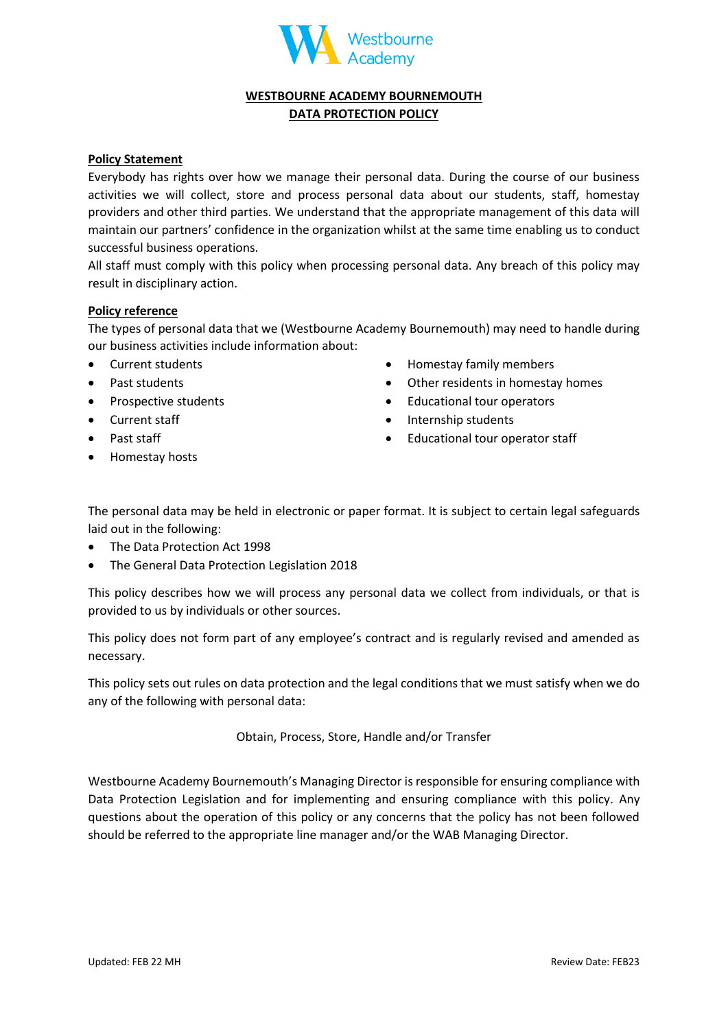

## **WESTBOURNE ACADEMY BOURNEMOUTH DATA PROTECTION POLICY**

### **Policy Statement**

Everybody has rights over how we manage their personal data. During the course of our business activities we will collect, store and process personal data about our students, staff, homestay providers and other third parties. We understand that the appropriate management of this data will maintain our partners' confidence in the organization whilst at the same time enabling us to conduct successful business operations.

All staff must comply with this policy when processing personal data. Any breach of this policy may result in disciplinary action.

#### **Policy reference**

The types of personal data that we (Westbourne Academy Bournemouth) may need to handle during our business activities include information about:

- Current students
- Past students
- Prospective students
- Current staff
- Past staff
- Homestay hosts
- Homestay family members
- Other residents in homestay homes
- Educational tour operators
- Internship students
- Educational tour operator staff

The personal data may be held in electronic or paper format. It is subject to certain legal safeguards laid out in the following:

- The Data Protection Act 1998
- The General Data Protection Legislation 2018

This policy describes how we will process any personal data we collect from individuals, or that is provided to us by individuals or other sources.

This policy does not form part of any employee's contract and is regularly revised and amended as necessary.

This policy sets out rules on data protection and the legal conditions that we must satisfy when we do any of the following with personal data:

Obtain, Process, Store, Handle and/or Transfer

Westbourne Academy Bournemouth's Managing Director is responsible for ensuring compliance with Data Protection Legislation and for implementing and ensuring compliance with this policy. Any questions about the operation of this policy or any concerns that the policy has not been followed should be referred to the appropriate line manager and/or the WAB Managing Director.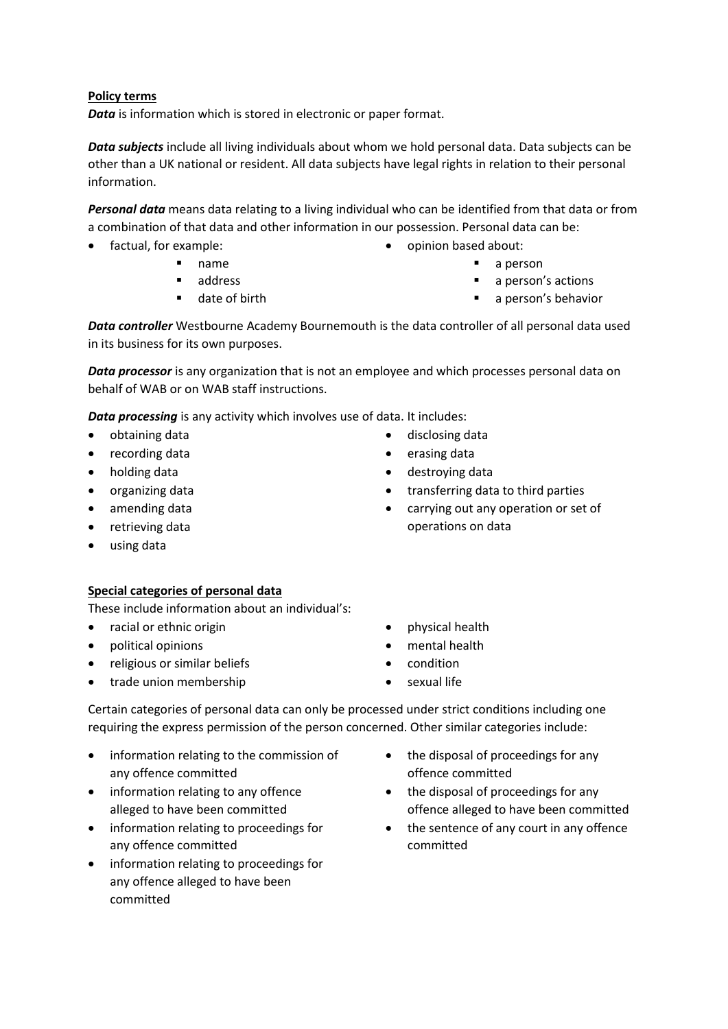### **Policy terms**

*Data* is information which is stored in electronic or paper format.

*Data subjects* include all living individuals about whom we hold personal data. Data subjects can be other than a UK national or resident. All data subjects have legal rights in relation to their personal information.

*Personal data* means data relating to a living individual who can be identified from that data or from a combination of that data and other information in our possession. Personal data can be:

- factual, for example:
	- name
	- address
	- date of birth
- opinion based about:
	- a person
	- a person's actions
	- a person's behavior

*Data controller* Westbourne Academy Bournemouth is the data controller of all personal data used in its business for its own purposes.

*Data processor* is any organization that is not an employee and which processes personal data on behalf of WAB or on WAB staff instructions.

*Data processing* is any activity which involves use of data. It includes:

- obtaining data
- recording data
- holding data
- organizing data
- amending data
- retrieving data
- using data

## **Special categories of personal data**

These include information about an individual's:

- racial or ethnic origin
- political opinions
- religious or similar beliefs
- trade union membership
- physical health
- mental health
- condition
- sexual life

Certain categories of personal data can only be processed under strict conditions including one requiring the express permission of the person concerned. Other similar categories include:

- information relating to the commission of any offence committed
- information relating to any offence alleged to have been committed
- information relating to proceedings for any offence committed
- information relating to proceedings for any offence alleged to have been committed
- the disposal of proceedings for any offence committed
- the disposal of proceedings for any offence alleged to have been committed
- the sentence of any court in any offence committed
- disclosing data
- erasing data
- destroying data
- transferring data to third parties
- carrying out any operation or set of operations on data

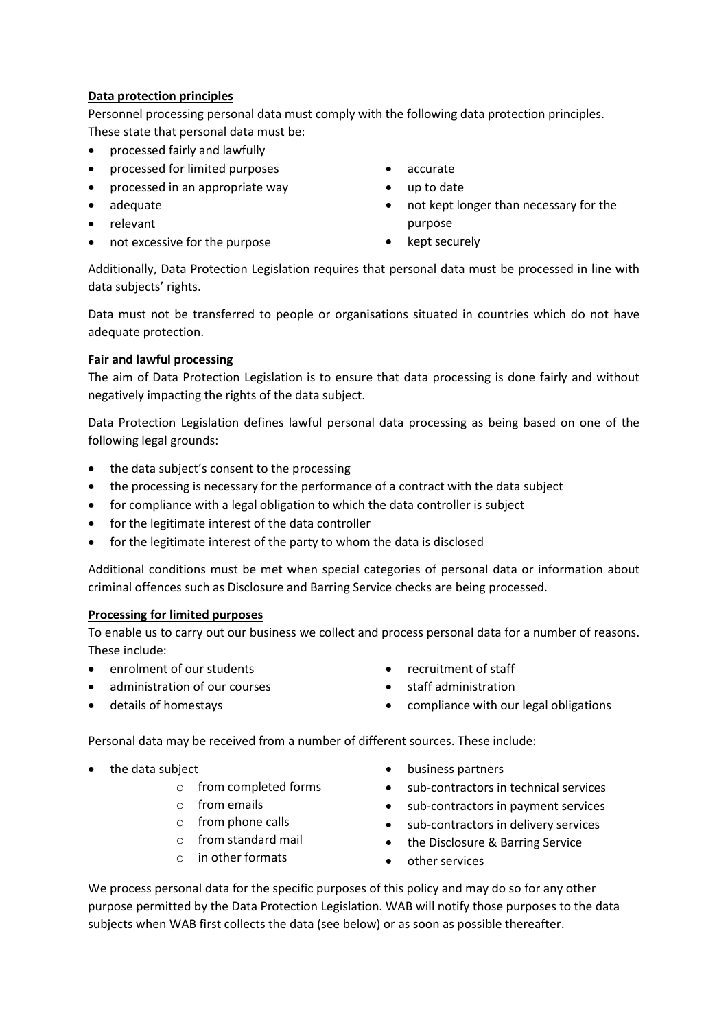## **Data protection principles**

Personnel processing personal data must comply with the following data protection principles. These state that personal data must be:

- processed fairly and lawfully
- processed for limited purposes
- processed in an appropriate way
- adequate
- relevant
- not excessive for the purpose
- accurate
- up to date
- not kept longer than necessary for the purpose
- kept securely

Additionally, Data Protection Legislation requires that personal data must be processed in line with data subjects' rights.

Data must not be transferred to people or organisations situated in countries which do not have adequate protection.

## **Fair and lawful processing**

The aim of Data Protection Legislation is to ensure that data processing is done fairly and without negatively impacting the rights of the data subject.

Data Protection Legislation defines lawful personal data processing as being based on one of the following legal grounds:

- the data subject's consent to the processing
- the processing is necessary for the performance of a contract with the data subject
- for compliance with a legal obligation to which the data controller is subject
- for the legitimate interest of the data controller
- for the legitimate interest of the party to whom the data is disclosed

Additional conditions must be met when special categories of personal data or information about criminal offences such as Disclosure and Barring Service checks are being processed.

### **Processing for limited purposes**

To enable us to carry out our business we collect and process personal data for a number of reasons. These include:

- enrolment of our students
- administration of our courses
- details of homestays
- recruitment of staff
- staff administration
- compliance with our legal obligations

Personal data may be received from a number of different sources. These include:

- the data subject
	- o from completed forms
	- o from emails
	- o from phone calls
	- o from standard mail
	- o in other formats
- 
- business partners
- sub-contractors in technical services
- sub-contractors in payment services
- sub-contractors in delivery services
- the Disclosure & Barring Service
- other services

We process personal data for the specific purposes of this policy and may do so for any other purpose permitted by the Data Protection Legislation. WAB will notify those purposes to the data subjects when WAB first collects the data (see below) or as soon as possible thereafter.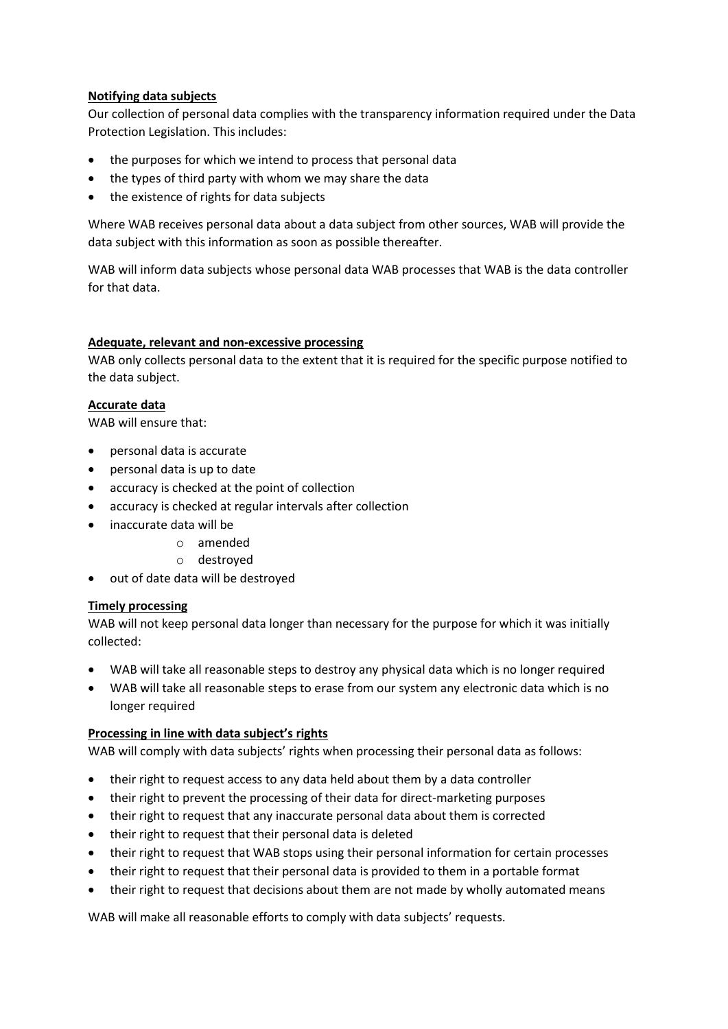## **Notifying data subjects**

Our collection of personal data complies with the transparency information required under the Data Protection Legislation. This includes:

- the purposes for which we intend to process that personal data
- the types of third party with whom we may share the data
- the existence of rights for data subjects

Where WAB receives personal data about a data subject from other sources, WAB will provide the data subject with this information as soon as possible thereafter.

WAB will inform data subjects whose personal data WAB processes that WAB is the data controller for that data.

### **Adequate, relevant and non-excessive processing**

WAB only collects personal data to the extent that it is required for the specific purpose notified to the data subject.

### **Accurate data**

WAB will ensure that:

- personal data is accurate
- personal data is up to date
- accuracy is checked at the point of collection
- accuracy is checked at regular intervals after collection
- inaccurate data will be
	- o amended
	- o destroyed
- out of date data will be destroyed

### **Timely processing**

WAB will not keep personal data longer than necessary for the purpose for which it was initially collected:

- WAB will take all reasonable steps to destroy any physical data which is no longer required
- WAB will take all reasonable steps to erase from our system any electronic data which is no longer required

### **Processing in line with data subject's rights**

WAB will comply with data subjects' rights when processing their personal data as follows:

- their right to request access to any data held about them by a data controller
- their right to prevent the processing of their data for direct-marketing purposes
- their right to request that any inaccurate personal data about them is corrected
- their right to request that their personal data is deleted
- their right to request that WAB stops using their personal information for certain processes
- their right to request that their personal data is provided to them in a portable format
- their right to request that decisions about them are not made by wholly automated means

WAB will make all reasonable efforts to comply with data subjects' requests.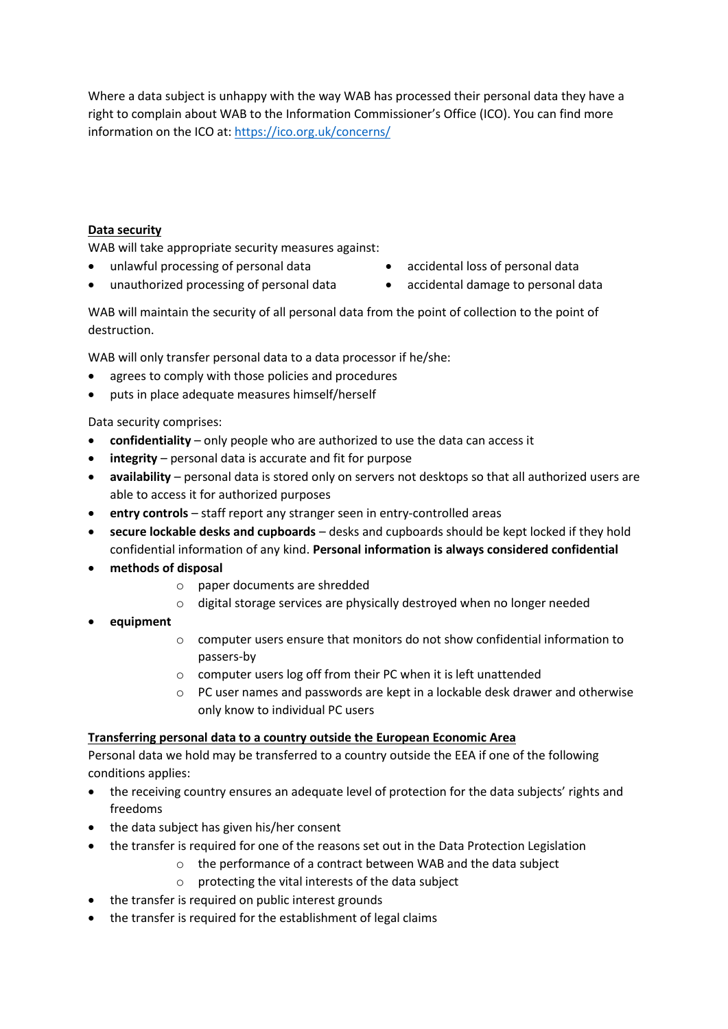Where a data subject is unhappy with the way WAB has processed their personal data they have a right to complain about WAB to the Information Commissioner's Office (ICO). You can find more information on the ICO at:<https://ico.org.uk/concerns/>

## **Data security**

WAB will take appropriate security measures against:

- unlawful processing of personal data
- unauthorized processing of personal data
- accidental loss of personal data
- accidental damage to personal data

WAB will maintain the security of all personal data from the point of collection to the point of destruction.

WAB will only transfer personal data to a data processor if he/she:

- agrees to comply with those policies and procedures
- puts in place adequate measures himself/herself

Data security comprises:

- **confidentiality**  only people who are authorized to use the data can access it
- integrity personal data is accurate and fit for purpose
- **availability**  personal data is stored only on servers not desktops so that all authorized users are able to access it for authorized purposes
- entry controls staff report any stranger seen in entry-controlled areas
- **secure lockable desks and cupboards**  desks and cupboards should be kept locked if they hold confidential information of any kind. **Personal information is always considered confidential**
- **methods of disposal**
	- o paper documents are shredded
	- o digital storage services are physically destroyed when no longer needed
- **equipment**
	- o computer users ensure that monitors do not show confidential information to passers-by
	- o computer users log off from their PC when it is left unattended
	- $\circ$  PC user names and passwords are kept in a lockable desk drawer and otherwise only know to individual PC users

## **Transferring personal data to a country outside the European Economic Area**

Personal data we hold may be transferred to a country outside the EEA if one of the following conditions applies:

- the receiving country ensures an adequate level of protection for the data subjects' rights and freedoms
- the data subject has given his/her consent
- the transfer is required for one of the reasons set out in the Data Protection Legislation
	- o the performance of a contract between WAB and the data subject
	- o protecting the vital interests of the data subject
- the transfer is required on public interest grounds
- the transfer is required for the establishment of legal claims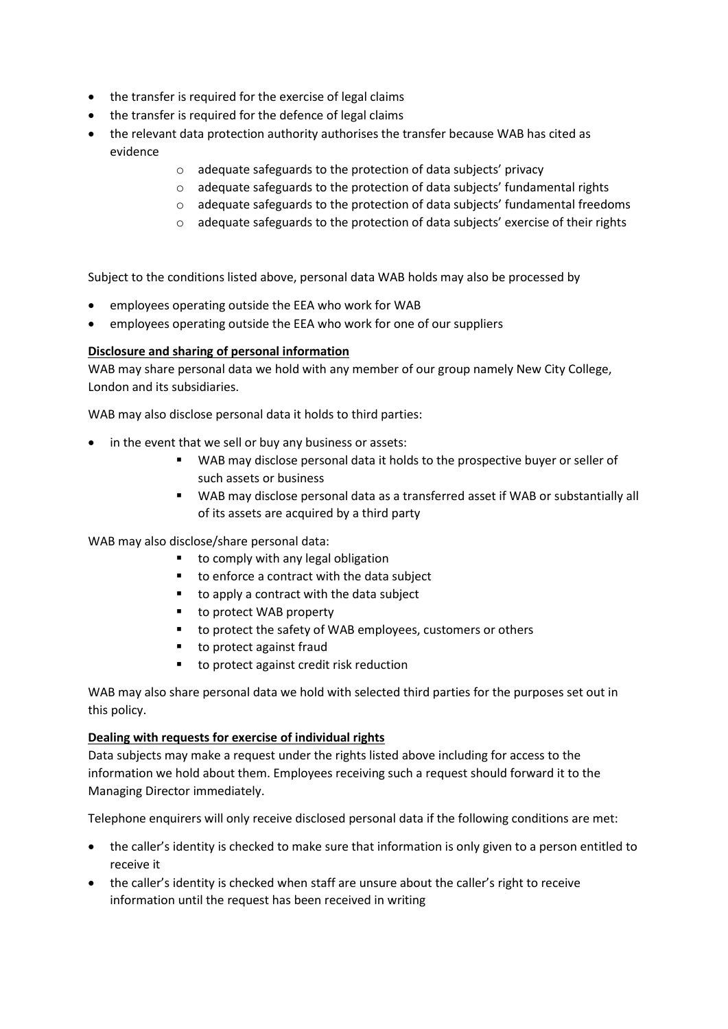- the transfer is required for the exercise of legal claims
- the transfer is required for the defence of legal claims
- the relevant data protection authority authorises the transfer because WAB has cited as evidence
	- o adequate safeguards to the protection of data subjects' privacy
	- o adequate safeguards to the protection of data subjects' fundamental rights
	- o adequate safeguards to the protection of data subjects' fundamental freedoms
	- $\circ$  adequate safeguards to the protection of data subjects' exercise of their rights

Subject to the conditions listed above, personal data WAB holds may also be processed by

- employees operating outside the EEA who work for WAB
- employees operating outside the EEA who work for one of our suppliers

### **Disclosure and sharing of personal information**

WAB may share personal data we hold with any member of our group namely New City College, London and its subsidiaries.

WAB may also disclose personal data it holds to third parties:

- in the event that we sell or buy any business or assets:
	- WAB may disclose personal data it holds to the prospective buyer or seller of such assets or business
	- WAB may disclose personal data as a transferred asset if WAB or substantially all of its assets are acquired by a third party

WAB may also disclose/share personal data:

- to comply with any legal obligation
- to enforce a contract with the data subject
- to apply a contract with the data subject
- to protect WAB property
- to protect the safety of WAB employees, customers or others
- to protect against fraud
- to protect against credit risk reduction

WAB may also share personal data we hold with selected third parties for the purposes set out in this policy.

### **Dealing with requests for exercise of individual rights**

Data subjects may make a request under the rights listed above including for access to the information we hold about them. Employees receiving such a request should forward it to the Managing Director immediately.

Telephone enquirers will only receive disclosed personal data if the following conditions are met:

- the caller's identity is checked to make sure that information is only given to a person entitled to receive it
- the caller's identity is checked when staff are unsure about the caller's right to receive information until the request has been received in writing